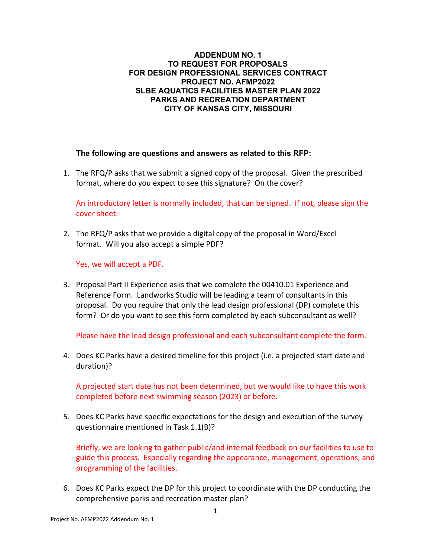## **ADDENDUM NO. 1 TO REQUEST FOR PROPOSALS FOR DESIGN PROFESSIONAL SERVICES CONTRACT PROJECT NO. AFMP2022 SLBE AQUATICS FACILITIES MASTER PLAN 2022 PARKS AND RECREATION DEPARTMENT CITY OF KANSAS CITY, MISSOURI**

## **The following are questions and answers as related to this RFP:**

1. The RFQ/P asks that we submit a signed copy of the proposal. Given the prescribed format, where do you expect to see this signature? On the cover?

An introductory letter is normally included, that can be signed. If not, please sign the cover sheet.

2. The RFQ/P asks that we provide a digital copy of the proposal in Word/Excel format. Will you also accept a simple PDF?

Yes, we will accept a PDF.

3. Proposal Part II Experience asks that we complete the 00410.01 Experience and Reference Form. Landworks Studio will be leading a team of consultants in this proposal. Do you require that only the lead design professional (DP) complete this form? Or do you want to see this form completed by each subconsultant as well?

Please have the lead design professional and each subconsultant complete the form.

4. Does KC Parks have a desired timeline for this project (i.e. a projected start date and duration)?

A projected start date has not been determined, but we would like to have this work completed before next swimming season (2023) or before.

5. Does KC Parks have specific expectations for the design and execution of the survey questionnaire mentioned in Task 1.1(B)?

Briefly, we are looking to gather public/and internal feedback on our facilities to use to guide this process. Especially regarding the appearance, management, operations, and programming of the facilities.

6. Does KC Parks expect the DP for this project to coordinate with the DP conducting the comprehensive parks and recreation master plan?